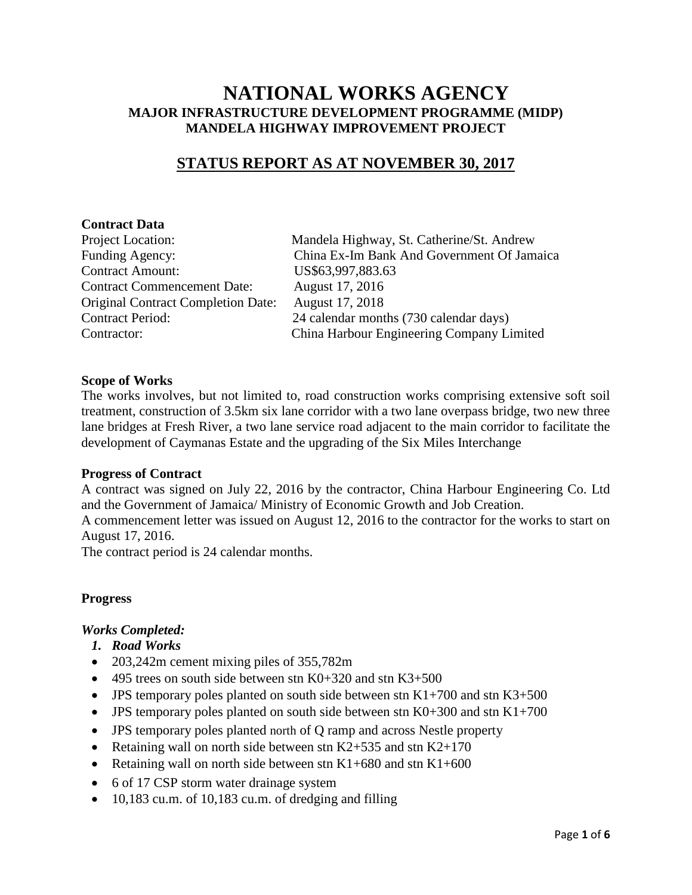# **NATIONAL WORKS AGENCY MAJOR INFRASTRUCTURE DEVELOPMENT PROGRAMME (MIDP) MANDELA HIGHWAY IMPROVEMENT PROJECT**

# **STATUS REPORT AS AT NOVEMBER 30, 2017**

# **Contract Data**

| Project Location:                         |
|-------------------------------------------|
| Funding Agency:                           |
| <b>Contract Amount:</b>                   |
| <b>Contract Commencement Date:</b>        |
| <b>Original Contract Completion Date:</b> |
| <b>Contract Period:</b>                   |
| Contractor:                               |

Mandela Highway, St. Catherine/St. Andrew China Ex-Im Bank And Government Of Jamaica US\$63,997,883.63 August 17, 2016 August 17, 2018 24 calendar months (730 calendar days) Contractor: China Harbour Engineering Company Limited

# **Scope of Works**

The works involves, but not limited to, road construction works comprising extensive soft soil treatment, construction of 3.5km six lane corridor with a two lane overpass bridge, two new three lane bridges at Fresh River, a two lane service road adjacent to the main corridor to facilitate the development of Caymanas Estate and the upgrading of the Six Miles Interchange

#### **Progress of Contract**

A contract was signed on July 22, 2016 by the contractor, China Harbour Engineering Co. Ltd and the Government of Jamaica/ Ministry of Economic Growth and Job Creation.

A commencement letter was issued on August 12, 2016 to the contractor for the works to start on August 17, 2016.

The contract period is 24 calendar months.

# **Progress**

#### *Works Completed:*

- *1. Road Works*
- 203,242m cement mixing piles of 355,782m
- 495 trees on south side between stn  $K0+320$  and stn  $K3+500$
- JPS temporary poles planted on south side between stn  $K1+700$  and stn  $K3+500$
- JPS temporary poles planted on south side between stn  $K0+300$  and stn  $K1+700$
- JPS temporary poles planted north of Q ramp and across Nestle property
- Retaining wall on north side between stn K2+535 and stn K2+170
- Retaining wall on north side between stn  $K1+680$  and stn  $K1+600$
- 6 of 17 CSP storm water drainage system
- 10,183 cu.m. of 10,183 cu.m. of dredging and filling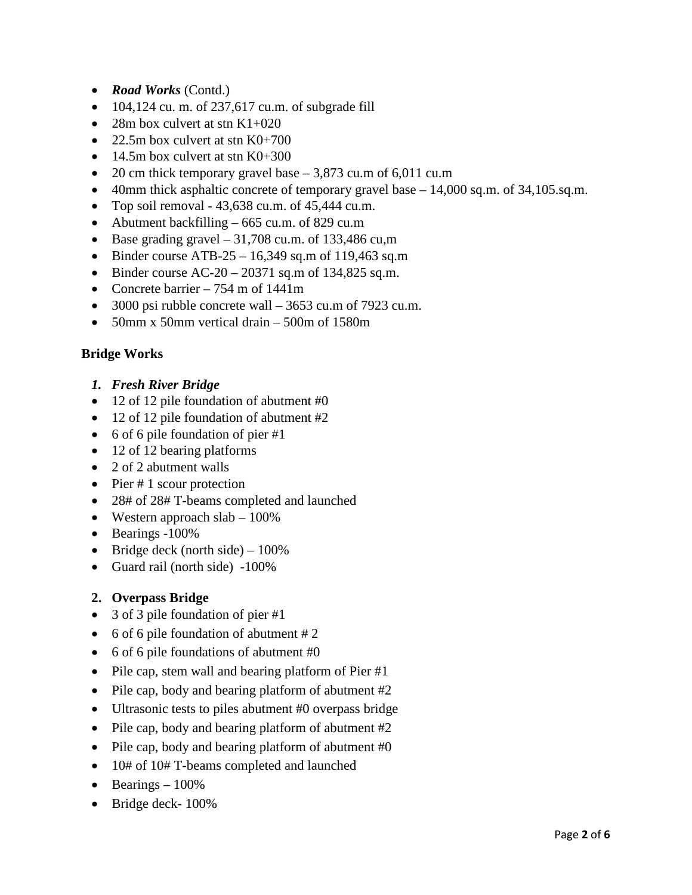- *Road Works* (Contd.)
- $\bullet$  104,124 cu. m. of 237,617 cu.m. of subgrade fill
- 28m box culvert at stn  $K1+020$
- 22.5m box culvert at stn  $K0+700$
- 14.5m box culvert at stn  $K0+300$
- 20 cm thick temporary gravel base  $-3,873$  cu.m of 6,011 cu.m
- 40mm thick asphaltic concrete of temporary gravel base 14,000 sq.m. of 34,105.sq.m.
- Top soil removal 43,638 cu.m. of 45,444 cu.m.
- Abutment backfilling 665 cu.m. of 829 cu.m
- Base grading gravel  $-31,708$  cu.m. of 133,486 cu.m
- Binder course ATB-25 16,349 sq.m of 119,463 sq.m
- Binder course  $AC-20 20371$  sq.m of 134,825 sq.m.
- Concrete barrier  $-754$  m of 1441m
- 3000 psi rubble concrete wall 3653 cu.m of 7923 cu.m.
- 50mm x 50mm vertical drain 500m of 1580m

# **Bridge Works**

- *1. Fresh River Bridge*
- 12 of 12 pile foundation of abutment #0
- 12 of 12 pile foundation of abutment #2
- 6 of 6 pile foundation of pier #1
- 12 of 12 bearing platforms
- 2 of 2 abutment walls
- Pier  $# 1$  scour protection
- 28# of 28# T-beams completed and launched
- Western approach slab 100%
- Bearings -100%
- Bridge deck (north side)  $-100\%$
- Guard rail (north side) -100%

# **2. Overpass Bridge**

- 3 of 3 pile foundation of pier #1
- 6 of 6 pile foundation of abutment # 2
- 6 of 6 pile foundations of abutment #0
- Pile cap, stem wall and bearing platform of Pier #1
- Pile cap, body and bearing platform of abutment #2
- Ultrasonic tests to piles abutment #0 overpass bridge
- Pile cap, body and bearing platform of abutment #2
- Pile cap, body and bearing platform of abutment #0
- 10# of 10# T-beams completed and launched
- Bearings  $-100\%$
- Bridge deck-  $100\%$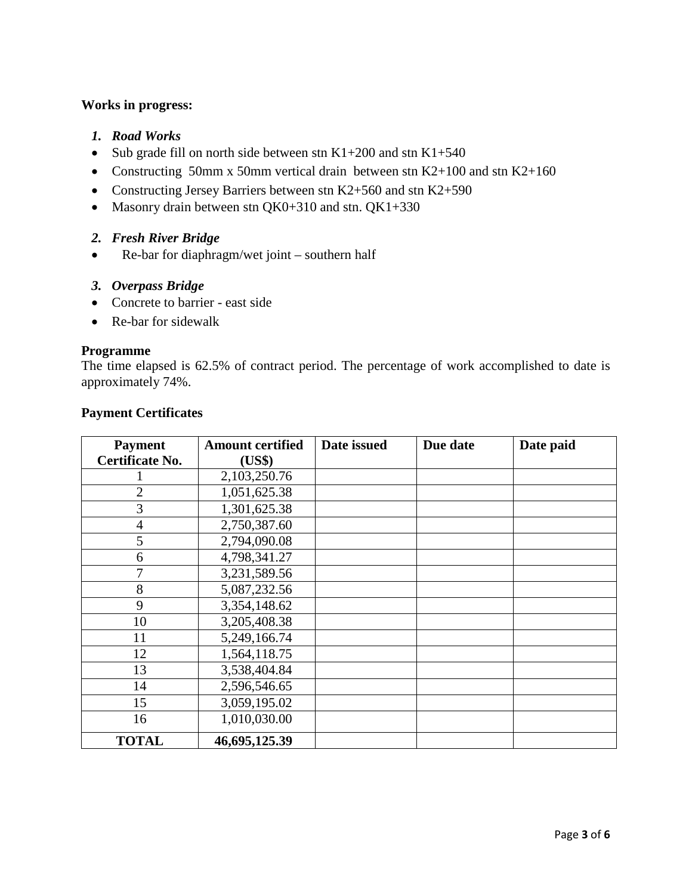# **Works in progress:**

- *1. Road Works*
- Sub grade fill on north side between stn  $K1+200$  and stn  $K1+540$
- Constructing 50mm x 50mm vertical drain between stn K2+100 and stn K2+160
- Constructing Jersey Barriers between stn K2+560 and stn K2+590
- Masonry drain between stn QK0+310 and stn. QK1+330
- *2. Fresh River Bridge*
- Re-bar for diaphragm/wet joint southern half
- *3. Overpass Bridge*
- Concrete to barrier east side
- Re-bar for sidewalk

#### **Programme**

The time elapsed is 62.5% of contract period. The percentage of work accomplished to date is approximately 74%.

| <b>Payment</b>         | <b>Amount certified</b> | Date issued | Due date | Date paid |
|------------------------|-------------------------|-------------|----------|-----------|
| <b>Certificate No.</b> | (US\$)                  |             |          |           |
|                        | 2,103,250.76            |             |          |           |
| $\overline{2}$         | 1,051,625.38            |             |          |           |
| 3                      | 1,301,625.38            |             |          |           |
| $\overline{4}$         | 2,750,387.60            |             |          |           |
| 5                      | 2,794,090.08            |             |          |           |
| 6                      | 4,798,341.27            |             |          |           |
| 7                      | 3,231,589.56            |             |          |           |
| 8                      | 5,087,232.56            |             |          |           |
| 9                      | 3,354,148.62            |             |          |           |
| 10                     | 3,205,408.38            |             |          |           |
| 11                     | 5,249,166.74            |             |          |           |
| 12                     | 1,564,118.75            |             |          |           |
| 13                     | 3,538,404.84            |             |          |           |
| 14                     | 2,596,546.65            |             |          |           |
| 15                     | 3,059,195.02            |             |          |           |
| 16                     | 1,010,030.00            |             |          |           |
| <b>TOTAL</b>           | 46,695,125.39           |             |          |           |

# **Payment Certificates**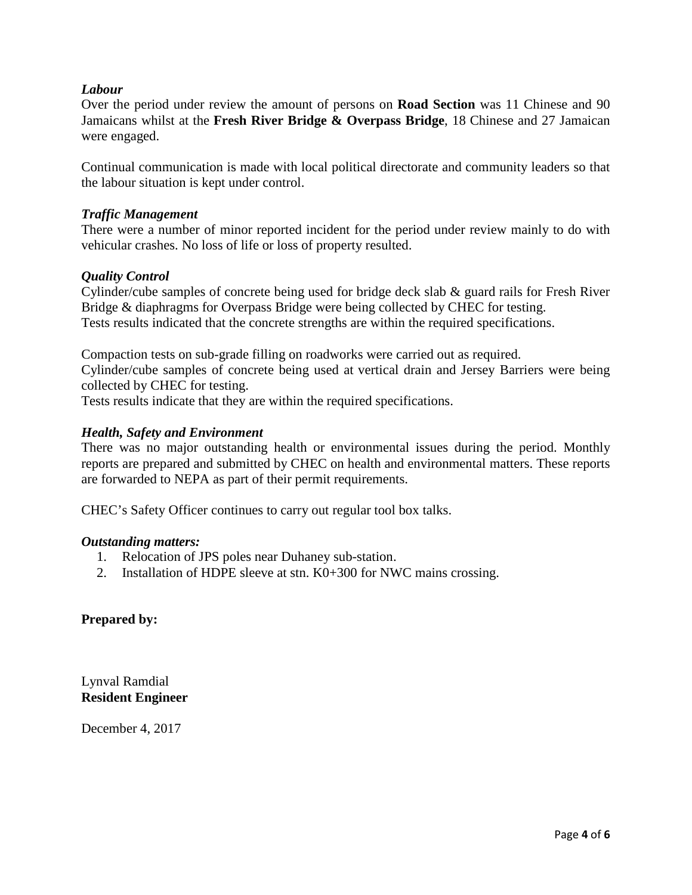# *Labour*

Over the period under review the amount of persons on **Road Section** was 11 Chinese and 90 Jamaicans whilst at the **Fresh River Bridge & Overpass Bridge**, 18 Chinese and 27 Jamaican were engaged.

Continual communication is made with local political directorate and community leaders so that the labour situation is kept under control.

# *Traffic Management*

There were a number of minor reported incident for the period under review mainly to do with vehicular crashes. No loss of life or loss of property resulted.

# *Quality Control*

Cylinder/cube samples of concrete being used for bridge deck slab & guard rails for Fresh River Bridge & diaphragms for Overpass Bridge were being collected by CHEC for testing. Tests results indicated that the concrete strengths are within the required specifications.

Compaction tests on sub-grade filling on roadworks were carried out as required.

Cylinder/cube samples of concrete being used at vertical drain and Jersey Barriers were being collected by CHEC for testing.

Tests results indicate that they are within the required specifications.

# *Health, Safety and Environment*

There was no major outstanding health or environmental issues during the period. Monthly reports are prepared and submitted by CHEC on health and environmental matters. These reports are forwarded to NEPA as part of their permit requirements.

CHEC's Safety Officer continues to carry out regular tool box talks.

#### *Outstanding matters:*

- 1. Relocation of JPS poles near Duhaney sub-station.
- 2. Installation of HDPE sleeve at stn. K0+300 for NWC mains crossing.

# **Prepared by:**

Lynval Ramdial **Resident Engineer**

December 4, 2017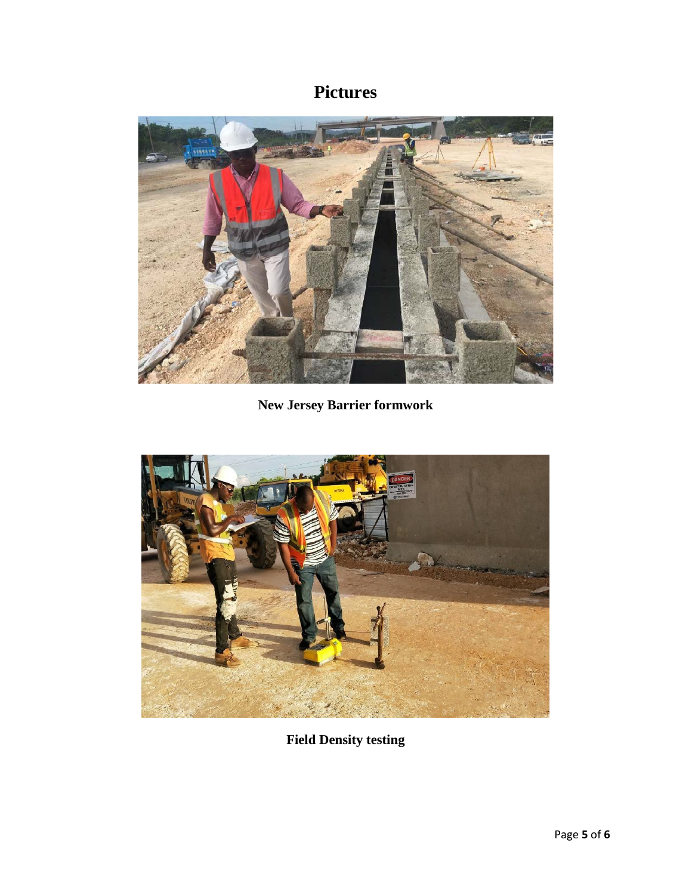# **Pictures**



**New Jersey Barrier formwork**



**Field Density testing**